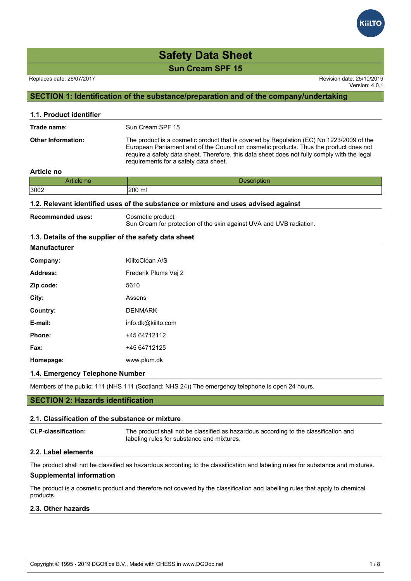Version: 4.0.1

### **SECTION 1: Identification of the substance/preparation and of the company/undertaking**

| 1.1. Product identifier   |                                                                                                                                                                                                                                                                                                                             |
|---------------------------|-----------------------------------------------------------------------------------------------------------------------------------------------------------------------------------------------------------------------------------------------------------------------------------------------------------------------------|
| Trade name:               | Sun Cream SPF 15                                                                                                                                                                                                                                                                                                            |
| <b>Other Information:</b> | The product is a cosmetic product that is covered by Regulation (EC) No 1223/2009 of the<br>European Parliament and of the Council on cosmetic products. Thus the product does not<br>require a safety data sheet. Therefore, this data sheet does not fully comply with the legal<br>requirements for a safety data sheet. |

#### **Article no**

| the contract of the contract of | .                |
|---------------------------------|------------------|
| Article no                      | <b>UESCHDUUT</b> |
| 3002                            | 200 ml           |

#### **1.2. Relevant identified uses of the substance or mixture and uses advised against**

**Recommended uses:** Cosmetic product

Sun Cream for protection of the skin against UVA and UVB radiation.

#### **1.3. Details of the supplier of the safety data sheet**

| <b>Manufacturer</b> |  |
|---------------------|--|
| Company:            |  |

| Company:  | KiiltoClean A/S      |
|-----------|----------------------|
| Address:  | Frederik Plums Vej 2 |
| Zip code: | 5610                 |
| City:     | Assens               |
| Country:  | <b>DENMARK</b>       |
| E-mail:   | info.dk@kiilto.com   |
| Phone:    | +45 64712112         |
| Fax:      | +45 64712125         |
| Homepage: | www.plum.dk          |

#### **1.4. Emergency Telephone Number**

Members of the public: 111 (NHS 111 (Scotland: NHS 24)) The emergency telephone is open 24 hours.

#### **SECTION 2: Hazards identification**

#### **2.1. Classification of the substance or mixture**

**CLP-classification:** The product shall not be classified as hazardous according to the classification and labeling rules for substance and mixtures.

#### **2.2. Label elements**

The product shall not be classified as hazardous according to the classification and labeling rules for substance and mixtures. **Supplemental information**

The product is a cosmetic product and therefore not covered by the classification and labelling rules that apply to chemical products.

#### **2.3. Other hazards**

Copyright © 1995 - 2019 DGOffice B.V., Made with CHESS in www.DGDoc.net 1 / 8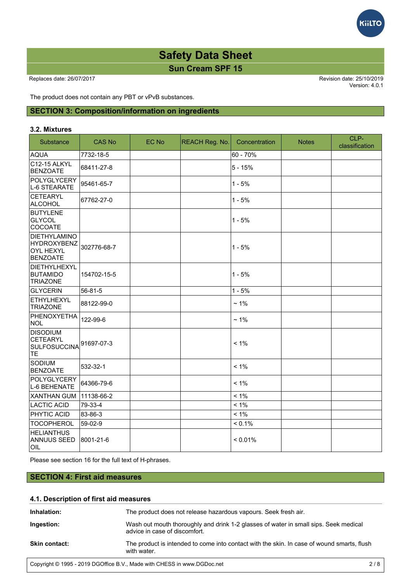Version: 4.0.1

*<u><b>KiiLTC</u>* 

The product does not contain any PBT or vPvB substances.

#### **SECTION 3: Composition/information on ingredients**

#### **3.2. Mixtures**

| Substance                                                          | <b>CAS No</b> | EC No | REACH Reg. No. | Concentration | <b>Notes</b> | CLP-<br>classification |
|--------------------------------------------------------------------|---------------|-------|----------------|---------------|--------------|------------------------|
| <b>AQUA</b>                                                        | 7732-18-5     |       |                | 60 - 70%      |              |                        |
| C12-15 ALKYL<br><b>BENZOATE</b>                                    | 68411-27-8    |       |                | $5 - 15%$     |              |                        |
| POLYGLYCERY<br>L-6 STEARATE                                        | 95461-65-7    |       |                | $1 - 5%$      |              |                        |
| CETEARYL<br>ALCOHOL                                                | 67762-27-0    |       |                | $1 - 5%$      |              |                        |
| <b>BUTYLENE</b><br>GLYCOL<br><b>COCOATE</b>                        |               |       |                | $1 - 5%$      |              |                        |
| DIETHYLAMINO<br>HYDROXYBENZ<br><b>OYL HEXYL</b><br><b>BENZOATE</b> | 302776-68-7   |       |                | $1 - 5%$      |              |                        |
| DIETHYLHEXYL<br><b>BUTAMIDO</b><br><b>TRIAZONE</b>                 | 154702-15-5   |       |                | $1 - 5%$      |              |                        |
| GLYCERIN                                                           | 56-81-5       |       |                | $1 - 5%$      |              |                        |
| ETHYLHEXYL<br><b>TRIAZONE</b>                                      | 88122-99-0    |       |                | $~1\%$        |              |                        |
| PHENOXYETHA<br>NOL                                                 | 122-99-6      |       |                | $~1\%$        |              |                        |
| <b>DISODIUM</b><br>CETEARYL<br><b>SULFOSUCCINA</b><br>TE           | 91697-07-3    |       |                | $< 1\%$       |              |                        |
| Sodium<br><b>BENZOATE</b>                                          | 532-32-1      |       |                | $< 1\%$       |              |                        |
| POLYGLYCERY<br>L-6 BEHENATE                                        | 64366-79-6    |       |                | $< 1\%$       |              |                        |
| XANTHAN GUM                                                        | 11138-66-2    |       |                | $< 1\%$       |              |                        |
| LACTIC ACID                                                        | 79-33-4       |       |                | $< 1\%$       |              |                        |
| <b>PHYTIC ACID</b>                                                 | 83-86-3       |       |                | $< 1\%$       |              |                        |
| TOCOPHEROL                                                         | 59-02-9       |       |                | $< 0.1\%$     |              |                        |
| <b>HELIANTHUS</b><br><b>ANNUUS SEED</b><br><b>OIL</b>              | 8001-21-6     |       |                | < 0.01%       |              |                        |

Please see section 16 for the full text of H-phrases.

#### **SECTION 4: First aid measures**

#### **4.1. Description of first aid measures**

| Inhalation:          | The product does not release hazardous vapours. Seek fresh air.                                                       |
|----------------------|-----------------------------------------------------------------------------------------------------------------------|
| Ingestion:           | Wash out mouth thoroughly and drink 1-2 glasses of water in small sips. Seek medical<br>advice in case of discomfort. |
| <b>Skin contact:</b> | The product is intended to come into contact with the skin. In case of wound smarts, flush<br>with water.             |

Copyright © 1995 - 2019 DGOffice B.V., Made with CHESS in www.DGDoc.net 2 / 8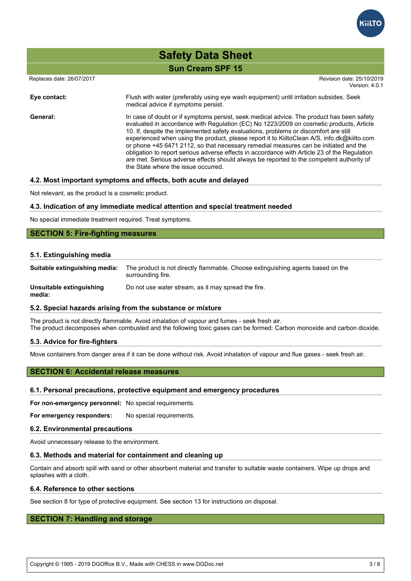

| <b>Safety Data Sheet</b> |  |
|--------------------------|--|
| <b>Sun Cream SPF 15</b>  |  |

Replaces date: 26/07/2017 **Replaces** date: 25/10/2019

Version: 4.0.1

| Eye contact: | Flush with water (preferably using eye wash equipment) until irritation subsides. Seek<br>medical advice if symptoms persist.                                                                                                                                                                                                                                                                                                                                                                                                                                                                                                                                                                          |
|--------------|--------------------------------------------------------------------------------------------------------------------------------------------------------------------------------------------------------------------------------------------------------------------------------------------------------------------------------------------------------------------------------------------------------------------------------------------------------------------------------------------------------------------------------------------------------------------------------------------------------------------------------------------------------------------------------------------------------|
| General:     | In case of doubt or if symptoms persist, seek medical advice. The product has been safety<br>evaluated in accordance with Regulation (EC) No 1223/2009 on cosmetic products, Article<br>10. If, despite the implemented safety evaluations, problems or discomfort are still<br>experienced when using the product, please report it to KiiltoClean A/S, info.dk@kiilto.com<br>or phone +45 6471 2112, so that necessary remedial measures can be initiated and the<br>obligation to report serious adverse effects in accordance with Article 23 of the Regulation<br>are met. Serious adverse effects should always be reported to the competent authority of<br>the State where the issue occurred. |

#### **4.2. Most important symptoms and effects, both acute and delayed**

Not relevant, as the product is a cosmetic product.

#### **4.3. Indication of any immediate medical attention and special treatment needed**

No special immediate treatment required. Treat symptoms.

#### **SECTION 5: Fire-fighting measures**

#### **5.1. Extinguishing media**

| Suitable extinguishing media:      | The product is not directly flammable. Choose extinguishing agents based on the<br>surrounding fire. |
|------------------------------------|------------------------------------------------------------------------------------------------------|
| Unsuitable extinguishing<br>media: | Do not use water stream, as it may spread the fire.                                                  |

#### **5.2. Special hazards arising from the substance or mixture**

The product is not directly flammable. Avoid inhalation of vapour and fumes - seek fresh air. The product decomposes when combusted and the following toxic gases can be formed: Carbon monoxide and carbon dioxide.

#### **5.3. Advice for fire-fighters**

Move containers from danger area if it can be done without risk. Avoid inhalation of vapour and flue gases - seek fresh air.

#### **SECTION 6: Accidental release measures**

#### **6.1. Personal precautions, protective equipment and emergency procedures**

**For non-emergency personnel:** No special requirements.

**For emergency responders:** No special requirements.

#### **6.2. Environmental precautions**

Avoid unnecessary release to the environment.

#### **6.3. Methods and material for containment and cleaning up**

Contain and absorb spill with sand or other absorbent material and transfer to suitable waste containers. Wipe up drops and splashes with a cloth.

#### **6.4. Reference to other sections**

See section 8 for type of protective equipment. See section 13 for instructions on disposal.

#### **SECTION 7: Handling and storage**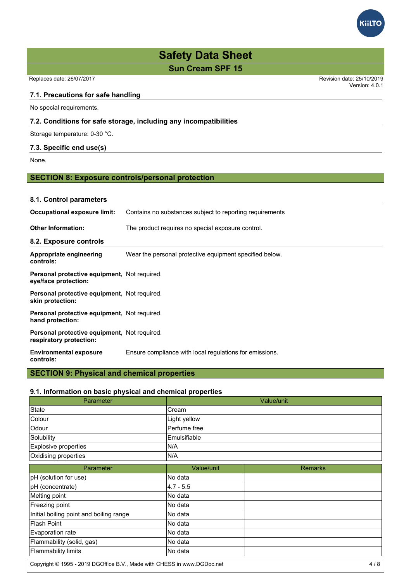Replaces date: 26/07/2017 Revision date: 25/10/2019

#### **7.1. Precautions for safe handling**

No special requirements.

#### **7.2. Conditions for safe storage, including any incompatibilities**

Storage temperature: 0-30 °C.

#### **7.3. Specific end use(s)**

None.

#### **SECTION 8: Exposure controls/personal protection**

| 8.1. Control parameters                                                        |                                                          |  |  |
|--------------------------------------------------------------------------------|----------------------------------------------------------|--|--|
| Occupational exposure limit:                                                   | Contains no substances subject to reporting requirements |  |  |
| <b>Other Information:</b>                                                      | The product requires no special exposure control.        |  |  |
| 8.2. Exposure controls                                                         |                                                          |  |  |
| Appropriate engineering<br>controls:                                           | Wear the personal protective equipment specified below.  |  |  |
| <b>Personal protective equipment, Not required.</b><br>eye/face protection:    |                                                          |  |  |
| <b>Personal protective equipment, Not required.</b><br>skin protection:        |                                                          |  |  |
| Personal protective equipment, Not required.<br>hand protection:               |                                                          |  |  |
| <b>Personal protective equipment, Not required.</b><br>respiratory protection: |                                                          |  |  |
| <b>Environmental exposure</b><br>controls:                                     | Ensure compliance with local regulations for emissions.  |  |  |

### **SECTION 9: Physical and chemical properties**

#### **9.1. Information on basic physical and chemical properties**

| Value/unit          |                         |  |
|---------------------|-------------------------|--|
| lCream              |                         |  |
| Light yellow        |                         |  |
| Perfume free        |                         |  |
| <b>Emulsifiable</b> |                         |  |
| IN/A                |                         |  |
| IN/A                |                         |  |
| Value/unit          | <b>Remarks</b>          |  |
|                     | $\sim$ $\sim$<br>$\sim$ |  |

| pH (solution for use)                   | INo data      |  |
|-----------------------------------------|---------------|--|
| pH (concentrate)                        | $ 4.7 - 5.5 $ |  |
| Melting point                           | No data       |  |
| Freezing point                          | No data       |  |
| Initial boiling point and boiling range | INo data      |  |
| lFlash Point                            | INo data      |  |
| Evaporation rate                        | No data       |  |
| Flammability (solid, gas)               | INo data      |  |
| Flammability limits                     | No data       |  |
|                                         |               |  |

Copyright © 1995 - 2019 DGOffice B.V., Made with CHESS in www.DGDoc.net 4 / 8



Version: 4.0.1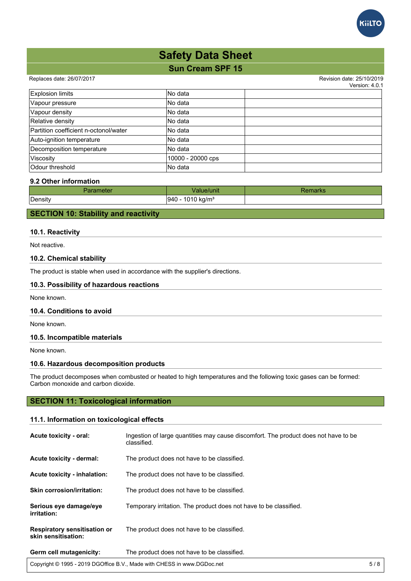

#### Replaces date: 26/07/2017 **Replaces** date: 25/10/2019

 $V$ orojon:  $4.0.1$ 

|                                       |                   | <u>VEISIUIL 4.0. I</u> |
|---------------------------------------|-------------------|------------------------|
| <b>Explosion limits</b>               | No data           |                        |
| Vapour pressure                       | No data           |                        |
| Vapour density                        | INo data          |                        |
| Relative density                      | INo data          |                        |
| Partition coefficient n-octonol/water | INo data          |                        |
| Auto-ignition temperature             | INo data          |                        |
| Decomposition temperature             | INo data          |                        |
| Viscosity                             | 10000 - 20000 cps |                        |
| Odour threshold                       | <b>No data</b>    |                        |

#### **9.2 Other information**

| Parameter | Value/unit                           | keniaiks |
|-----------|--------------------------------------|----------|
| Density   | 1010 kg/m <sup>3</sup><br>1940<br>᠇◡ |          |
|           |                                      |          |

#### **SECTION 10: Stability and reactivity**

#### **10.1. Reactivity**

Not reactive.

#### **10.2. Chemical stability**

The product is stable when used in accordance with the supplier's directions.

#### **10.3. Possibility of hazardous reactions**

None known.

#### **10.4. Conditions to avoid**

None known.

#### **10.5. Incompatible materials**

None known.

#### **10.6. Hazardous decomposition products**

The product decomposes when combusted or heated to high temperatures and the following toxic gases can be formed: Carbon monoxide and carbon dioxide.

#### **SECTION 11: Toxicological information**

#### **11.1. Information on toxicological effects**

| Acute toxicity - oral:                                     | Ingestion of large guantities may cause discomfort. The product does not have to be<br>classified. |
|------------------------------------------------------------|----------------------------------------------------------------------------------------------------|
| Acute toxicity - dermal:                                   | The product does not have to be classified.                                                        |
| Acute toxicity - inhalation:                               | The product does not have to be classified.                                                        |
| <b>Skin corrosion/irritation:</b>                          | The product does not have to be classified.                                                        |
| Serious eye damage/eye<br>irritation:                      | Temporary irritation. The product does not have to be classified.                                  |
| <b>Respiratory sensitisation or</b><br>skin sensitisation: | The product does not have to be classified.                                                        |
| Germ cell mutagenicity:                                    | The product does not have to be classified.                                                        |

Copyright © 1995 - 2019 DGOffice B.V., Made with CHESS in www.DGDoc.net 5 / 8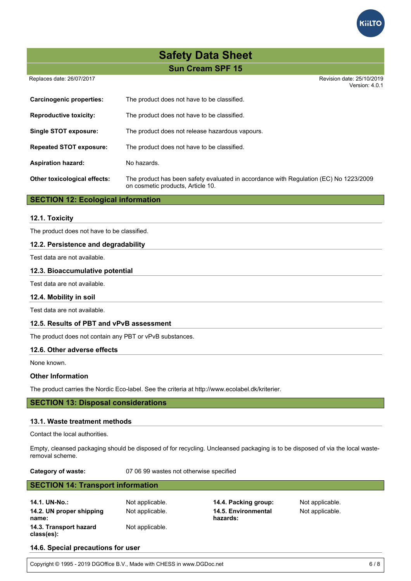Replaces date: 26/07/2017 **Replaces** date: 25/10/2019

|                                 | Version: 4.0.1                                                                                                             |
|---------------------------------|----------------------------------------------------------------------------------------------------------------------------|
| <b>Carcinogenic properties:</b> | The product does not have to be classified.                                                                                |
| <b>Reproductive toxicity:</b>   | The product does not have to be classified.                                                                                |
| Single STOT exposure:           | The product does not release hazardous vapours.                                                                            |
| <b>Repeated STOT exposure:</b>  | The product does not have to be classified.                                                                                |
| <b>Aspiration hazard:</b>       | No hazards.                                                                                                                |
| Other toxicological effects:    | The product has been safety evaluated in accordance with Regulation (EC) No 1223/2009<br>on cosmetic products, Article 10. |

#### **SECTION 12: Ecological information**

#### **12.1. Toxicity**

The product does not have to be classified.

#### **12.2. Persistence and degradability**

Test data are not available.

#### **12.3. Bioaccumulative potential**

Test data are not available.

#### **12.4. Mobility in soil**

Test data are not available.

#### **12.5. Results of PBT and vPvB assessment**

The product does not contain any PBT or vPvB substances.

#### **12.6. Other adverse effects**

None known.

#### **Other Information**

The product carries the Nordic Eco-label. See the criteria at http://www.ecolabel.dk/kriterier.

#### **SECTION 13: Disposal considerations**

#### **13.1. Waste treatment methods**

Contact the local authorities.

Empty, cleansed packaging should be disposed of for recycling. Uncleansed packaging is to be disposed of via the local wasteremoval scheme.

**Category of waste:** 07 06 99 wastes not otherwise specified

#### **SECTION 14: Transport information**

**14.1. UN-No.:** Not applicable. **14.4. Packing group:** Not applicable. **14.2. UN proper shipping name: 14.3. Transport hazard class(es):** Not applicable.

Not applicable. **14.5. Environmental hazards:**

Not applicable.

#### **14.6. Special precautions for user**

Copyright © 1995 - 2019 DGOffice B.V., Made with CHESS in www.DGDoc.net 6 / 8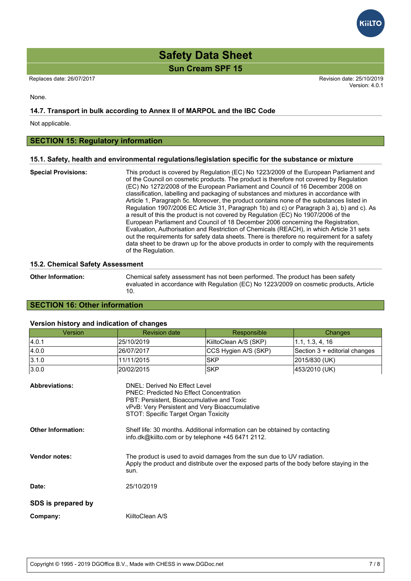Replaces date: 26/07/2017 **Replaces** date: 25/10/2019 Version: 4.0.1

None.

#### **14.7. Transport in bulk according to Annex II of MARPOL and the IBC Code**

Not applicable.

#### **SECTION 15: Regulatory information**

#### **15.1. Safety, health and environmental regulations/legislation specific for the substance or mixture**

**Special Provisions:** This product is covered by Regulation (EC) No 1223/2009 of the European Parliament and of the Council on cosmetic products. The product is therefore not covered by Regulation (EC) No 1272/2008 of the European Parliament and Council of 16 December 2008 on classification, labelling and packaging of substances and mixtures in accordance with Article 1, Paragraph 5c. Moreover, the product contains none of the substances listed in Regulation 1907/2006 EC Article 31, Paragraph 1b) and c) or Paragraph 3 a), b) and c). As a result of this the product is not covered by Regulation (EC) No 1907/2006 of the European Parliament and Council of 18 December 2006 concerning the Registration, Evaluation, Authorisation and Restriction of Chemicals (REACH), in which Article 31 sets out the requirements for safety data sheets. There is therefore no requirement for a safety data sheet to be drawn up for the above products in order to comply with the requirements of the Regulation.

#### **15.2. Chemical Safety Assessment**

**Other Information:** Chemical safety assessment has not been performed. The product has been safety evaluated in accordance with Regulation (EC) No 1223/2009 on cosmetic products, Article 10.

#### **SECTION 16: Other information**

#### **Version history and indication of changes**

| <b>Version</b>            | <b>Revision date</b>                                                                                                                                                                                                    | Responsible           | Changes                       |  |  |  |  |
|---------------------------|-------------------------------------------------------------------------------------------------------------------------------------------------------------------------------------------------------------------------|-----------------------|-------------------------------|--|--|--|--|
| 4.0.1                     | 25/10/2019                                                                                                                                                                                                              | KiiltoClean A/S (SKP) | 1.1, 1.3, 4, 16               |  |  |  |  |
| 4.0.0                     | 26/07/2017                                                                                                                                                                                                              | CCS Hygien A/S (SKP)  | Section 3 + editorial changes |  |  |  |  |
| 3.1.0                     | 11/11/2015                                                                                                                                                                                                              | <b>SKP</b>            | 2015/830 (UK)                 |  |  |  |  |
| 3.0.0                     | 20/02/2015                                                                                                                                                                                                              | <b>SKP</b>            | 453/2010 (UK)                 |  |  |  |  |
| <b>Abbreviations:</b>     | DNEL: Derived No Effect Level<br><b>PNEC: Predicted No Effect Concentration</b><br>PBT: Persistent, Bioaccumulative and Toxic<br>vPvB: Very Persistent and Very Bioaccumulative<br>STOT: Specific Target Organ Toxicity |                       |                               |  |  |  |  |
| <b>Other Information:</b> | Shelf life: 30 months. Additional information can be obtained by contacting<br>info.dk@kiilto.com or by telephone +45 6471 2112.                                                                                        |                       |                               |  |  |  |  |
| <b>Vendor notes:</b>      | The product is used to avoid damages from the sun due to UV radiation.<br>Apply the product and distribute over the exposed parts of the body before staying in the<br>sun.                                             |                       |                               |  |  |  |  |
| Date:                     | 25/10/2019                                                                                                                                                                                                              |                       |                               |  |  |  |  |
| SDS is prepared by        |                                                                                                                                                                                                                         |                       |                               |  |  |  |  |

**Company:** KiiltoClean A/S